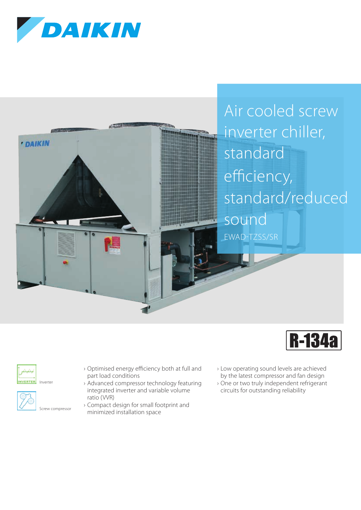







**NVERTER** Inverter



- › Optimised energy efficiency both at full and part load conditions
- › Advanced compressor technology featuring integrated inverter and variable volume ratio (VVR)
- › Compact design for small footprint and minimized installation space
- › Low operating sound levels are achieved by the latest compressor and fan design
- › One or two truly independent refrigerant circuits for outstanding reliability